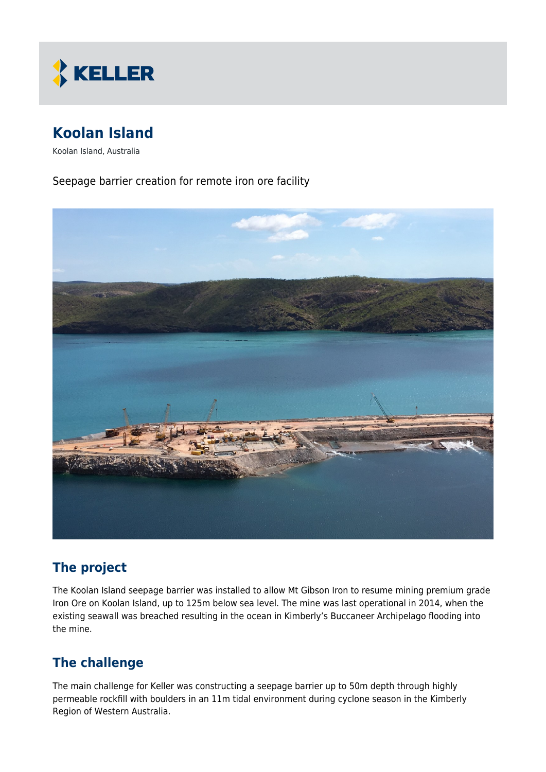

# **Koolan Island**

Koolan Island, Australia

Seepage barrier creation for remote iron ore facility



## **The project**

The Koolan Island seepage barrier was installed to allow Mt Gibson Iron to resume mining premium grade Iron Ore on Koolan Island, up to 125m below sea level. The mine was last operational in 2014, when the existing seawall was breached resulting in the ocean in Kimberly's Buccaneer Archipelago flooding into the mine.

## **The challenge**

The main challenge for Keller was constructing a seepage barrier up to 50m depth through highly permeable rockfill with boulders in an 11m tidal environment during cyclone season in the Kimberly Region of Western Australia.